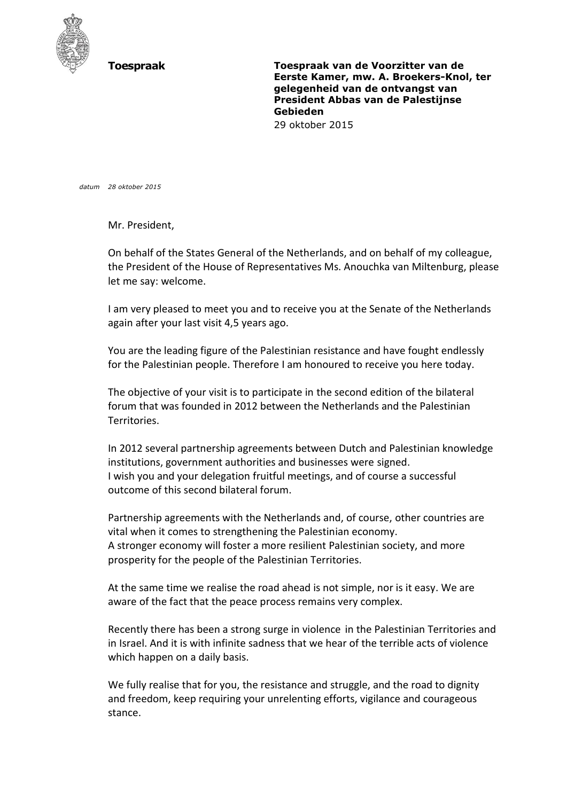

**Toespraak Toespraak van de Voorzitter van de Eerste Kamer, mw. A. Broekers-Knol, ter gelegenheid van de ontvangst van President Abbas van de Palestijnse Gebieden**  29 oktober 2015

*datum 28 oktober 2015*

Mr. President,

On behalf of the States General of the Netherlands, and on behalf of my colleague, the President of the House of Representatives Ms. Anouchka van Miltenburg, please let me say: welcome.

I am very pleased to meet you and to receive you at the Senate of the Netherlands again after your last visit 4,5 years ago.

You are the leading figure of the Palestinian resistance and have fought endlessly for the Palestinian people. Therefore I am honoured to receive you here today.

The objective of your visit is to participate in the second edition of the bilateral forum that was founded in 2012 between the Netherlands and the Palestinian Territories.

In 2012 several partnership agreements between Dutch and Palestinian knowledge institutions, government authorities and businesses were signed. I wish you and your delegation fruitful meetings, and of course a successful outcome of this second bilateral forum.

Partnership agreements with the Netherlands and, of course, other countries are vital when it comes to strengthening the Palestinian economy. A stronger economy will foster a more resilient Palestinian society, and more prosperity for the people of the Palestinian Territories.

At the same time we realise the road ahead is not simple, nor is it easy. We are aware of the fact that the peace process remains very complex.

Recently there has been a strong surge in violence in the Palestinian Territories and in Israel. And it is with infinite sadness that we hear of the terrible acts of violence which happen on a daily basis.

We fully realise that for you, the resistance and struggle, and the road to dignity and freedom, keep requiring your unrelenting efforts, vigilance and courageous stance.